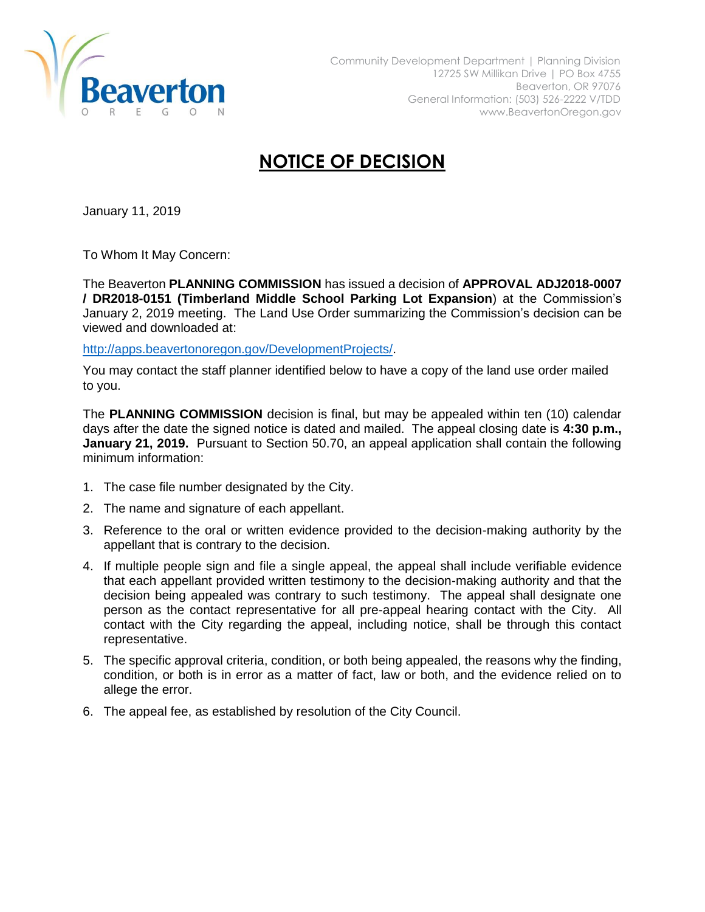

## **NOTICE OF DECISION**

January 11, 2019

To Whom It May Concern:

The Beaverton **PLANNING COMMISSION** has issued a decision of **APPROVAL ADJ2018-0007 / DR2018-0151 (Timberland Middle School Parking Lot Expansion**) at the Commission's January 2, 2019 meeting. The Land Use Order summarizing the Commission's decision can be viewed and downloaded at:

[http://apps.beavertonoregon.gov/DevelopmentProjects/.](http://apps.beavertonoregon.gov/DevelopmentProjects/)

You may contact the staff planner identified below to have a copy of the land use order mailed to you.

The **PLANNING COMMISSION** decision is final, but may be appealed within ten (10) calendar days after the date the signed notice is dated and mailed. The appeal closing date is **4:30 p.m., January 21, 2019.** Pursuant to Section 50.70, an appeal application shall contain the following minimum information:

- 1. The case file number designated by the City.
- 2. The name and signature of each appellant.
- 3. Reference to the oral or written evidence provided to the decision-making authority by the appellant that is contrary to the decision.
- 4. If multiple people sign and file a single appeal, the appeal shall include verifiable evidence that each appellant provided written testimony to the decision-making authority and that the decision being appealed was contrary to such testimony. The appeal shall designate one person as the contact representative for all pre-appeal hearing contact with the City. All contact with the City regarding the appeal, including notice, shall be through this contact representative.
- 5. The specific approval criteria, condition, or both being appealed, the reasons why the finding, condition, or both is in error as a matter of fact, law or both, and the evidence relied on to allege the error.
- 6. The appeal fee, as established by resolution of the City Council.